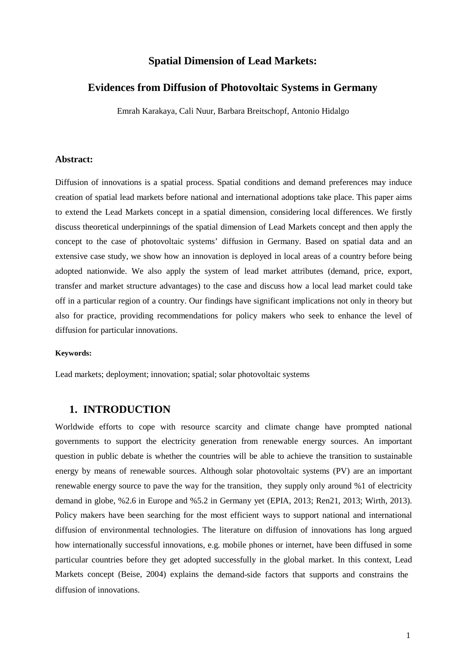## **Spatial Dimension of Lead Markets:**

## **Evidences from Diffusion of Photovoltaic Systems in Germany**

Emrah Karakaya, Cali Nuur, Barbara Breitschopf, Antonio Hidalgo

## **Abstract:**

Diffusion of innovations is a spatial process. Spatial conditions and demand preferences may induce creation of spatial lead markets before national and international adoptions take place. This paper aims to extend the Lead Markets concept in a spatial dimension, considering local differences. We firstly discuss theoretical underpinnings of the spatial dimension of Lead Markets concept and then apply the concept to the case of photovoltaic systems' diffusion in Germany. Based on spatial data and an extensive case study, we show how an innovation is deployed in local areas of a country before being adopted nationwide. We also apply the system of lead market attributes (demand, price, export, transfer and market structure advantages) to the case and discuss how a local lead market could take off in a particular region of a country. Our findings have significant implications not only in theory but also for practice, providing recommendations for policy makers who seek to enhance the level of diffusion for particular innovations.

#### **Keywords:**

Lead markets; deployment; innovation; spatial; solar photovoltaic systems

## **1. INTRODUCTION**

Worldwide efforts to cope with resource scarcity and climate change have prompted national governments to support the electricity generation from renewable energy sources. An important question in public debate is whether the countries will be able to achieve the transition to sustainable energy by means of renewable sources. Although solar photovoltaic systems (PV) are an important renewable energy source to pave the way for the transition, they supply only around %1 of electricity demand in globe, %2.6 in Europe and %5.2 in Germany yet (EPIA, 2013; Ren21, 2013; Wirth, 2013). Policy makers have been searching for the most efficient ways to support national and international diffusion of environmental technologies. The literature on diffusion of innovations has long argued how internationally successful innovations, e.g. mobile phones or internet, have been diffused in some particular countries before they get adopted successfully in the global market. In this context, Lead Markets concept (Beise, 2004) explains the demand-side factors that supports and constrains the diffusion of innovations.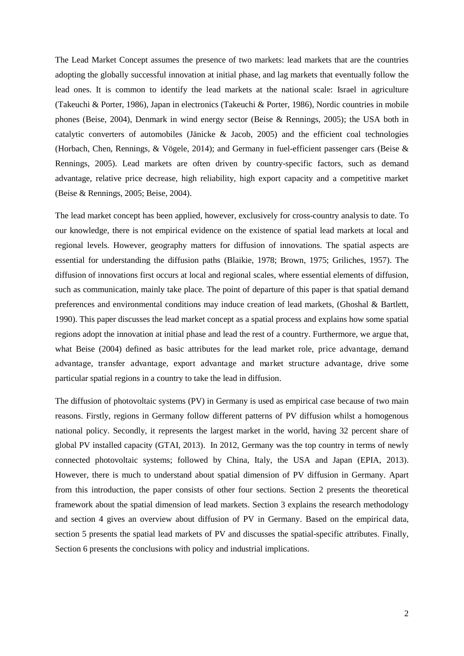The Lead Market Concept assumes the presence of two markets: lead markets that are the countries adopting the globally successful innovation at initial phase, and lag markets that eventually follow the lead ones. It is common to identify the lead markets at the national scale: Israel in agriculture (Takeuchi & Porter, 1986), Japan in electronics (Takeuchi & Porter, 1986), Nordic countries in mobile phones (Beise, 2004), Denmark in wind energy sector (Beise & Rennings, 2005); the USA both in catalytic converters of automobiles (Jänicke & Jacob, 2005) and the efficient coal technologies (Horbach, Chen, Rennings, & Vögele, 2014); and Germany in fuel-efficient passenger cars (Beise & Rennings, 2005). Lead markets are often driven by country-specific factors, such as demand advantage, relative price decrease, high reliability, high export capacity and a competitive market (Beise & Rennings, 2005; Beise, 2004).

<span id="page-1-0"></span>The lead market concept has been applied, however, exclusively for cross-country analysis to date. To our knowledge, there is not empirical evidence on the existence of spatial lead markets at local and regional levels. However, geography matters for diffusion of innovations. The spatial aspects are essential for understanding the diffusion paths (Blaikie, 1978; Brown, 1975; Griliches, 1957). The diffusion of innovations first occurs at local and regional scales, where essential elements of diffusion, such as communication, mainly take place. The point of departure of this paper is that spatial demand preferences and environmental conditions may induce creation of lead markets, (Ghoshal & Bartlett, 1990). This paper discusses the lead market concept as a spatial process and explains how some spatial regions adopt the innovation at initial phase and lead the rest of a country. Furthermore, we argue that, what Beise (2004) defined as basic attributes for the lead market role, price advantage, demand advantage, transfer advantage, export advantage and market structure advantage, drive some particular spatial regions in a country to take the lead in diffusion.

The diffusion of photovoltaic systems (PV) in Germany is used as empirical case because of two main reasons. Firstly, regions in Germany follow different patterns of PV diffusion whilst a homogenous national policy. Secondly, it represents the largest market in the world, having 32 percent share of global PV installed capacity (GTAI, 2013). In 2012, Germany was the top country in terms of newly connected photovoltaic systems; followed by China, Italy, the USA and Japan (EPIA, 2013). However, there is much to understand about spatial dimension of PV diffusion in Germany. Apart from this introduction, the paper consists of other four sections. Section 2 presents the theoretical framework about the spatial dimension of lead markets. Section 3 explains the research methodology and section 4 gives an overview about diffusion of PV in Germany. Based on the empirical data, section 5 presents the spatial lead markets of PV and discusses the spatial-specific attributes. Finally, Section 6 presents the conclusions with policy and industrial implications.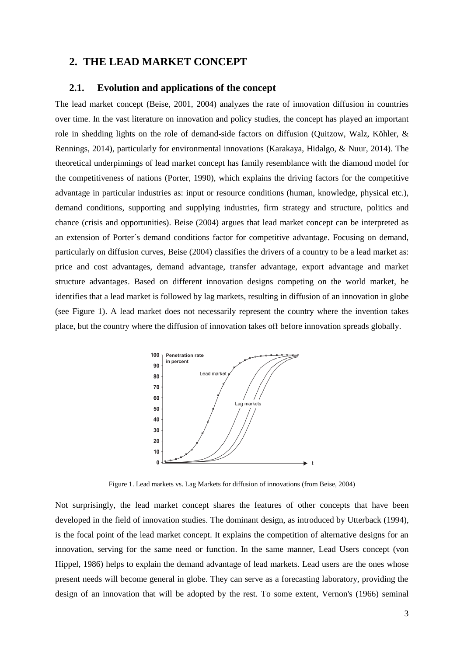# **2. THE LEAD MARKET CONCEPT**

### **2.1. Evolution and applications of the concept**

The lead market concept (Beise, 2001, 2004) analyzes the rate of innovation diffusion in countries over time. In the vast literature on innovation and policy studies, the concept has played an important role in shedding lights on the role of demand-side factors on diffusion (Quitzow, Walz, Köhler, & Rennings, 2014), particularly for environmental innovations (Karakaya, Hidalgo, & Nuur, 2014). The theoretical underpinnings of lead market concept has family resemblance with the diamond model for the competitiveness of nations (Porter, 1990), which explains the driving factors for the competitive advantage in particular industries as: input or resource conditions (human, knowledge, physical etc.), demand conditions, supporting and supplying industries, firm strategy and structure, politics and chance (crisis and opportunities). Beise (2004) argues that lead market concept can be interpreted as an extension of Porter´s demand conditions factor for competitive advantage. Focusing on demand, particularly on diffusion curves, Beise (2004) classifies the drivers of a country to be a lead market as: price and cost advantages, demand advantage, transfer advantage, export advantage and market structure advantages. Based on different innovation designs competing on the world market, he identifies that a lead market is followed by lag markets, resulting in diffusion of an innovation in globe (see Figure 1). A lead market does not necessarily represent the country where the invention takes place, but the country where the diffusion of innovation takes off before innovation spreads globally.



Figure 1. Lead markets vs. Lag Markets for diffusion of innovations (from Beise, 2004)

Not surprisingly, the lead market concept shares the features of other concepts that have been developed in the field of innovation studies. The dominant design, as introduced by Utterback (1994), is the focal point of the lead market concept. It explains the competition of alternative designs for an innovation, serving for the same need or function. In the same manner, Lead Users concept (von Hippel, 1986) helps to explain the demand advantage of lead markets. Lead users are the ones whose present needs will become general in globe. They can serve as a forecasting laboratory, providing the design of an innovation that will be adopted by the rest. To some extent, Vernon's (1966) seminal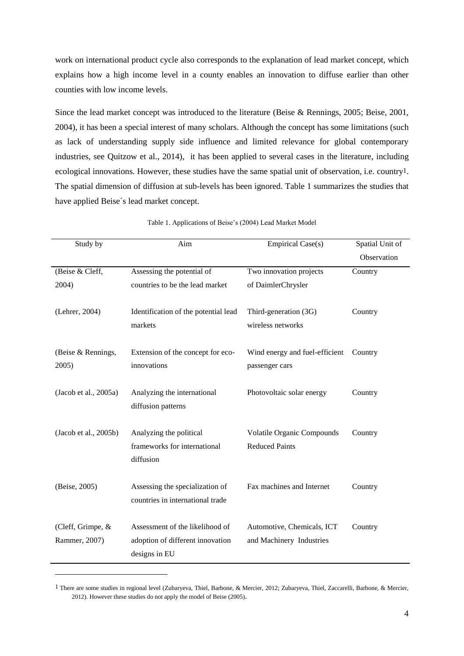work on international product cycle also corresponds to the explanation of lead market concept, which explains how a high income level in a county enables an innovation to diffuse earlier than other counties with low income levels.

Since the lead market concept was introduced to the literature (Beise & Rennings, 2005; Beise, 2001, 2004), it has been a special interest of many scholars. Although the concept has some limitations (such as lack of understanding supply side influence and limited relevance for global contemporary industries, see Quitzow et al., 2014), it has been applied to several cases in the literature, including ecological innovations. However, these studies have the same spatial unit of observation, i.e. country1. The spatial dimension of diffusion at sub-levels has been ignored. [Table 1](#page-1-0) summarizes the studies that have applied Beise´s lead market concept.

| Study by                           | Aim                                                                                  | <b>Empirical Case(s)</b>                                   | Spatial Unit of |  |  |
|------------------------------------|--------------------------------------------------------------------------------------|------------------------------------------------------------|-----------------|--|--|
|                                    |                                                                                      |                                                            | Observation     |  |  |
| (Beise & Cleff,                    | Assessing the potential of                                                           | Two innovation projects                                    | Country         |  |  |
| 2004)                              | countries to be the lead market                                                      | of DaimlerChrysler                                         |                 |  |  |
| (Lehrer, 2004)                     | Identification of the potential lead                                                 | Third-generation (3G)                                      | Country         |  |  |
|                                    | markets                                                                              | wireless networks                                          |                 |  |  |
| (Beise & Rennings,<br>2005)        | Extension of the concept for eco-<br>innovations                                     | Wind energy and fuel-efficient<br>passenger cars           | Country         |  |  |
| (Jacob et al., 2005a)              | Analyzing the international<br>diffusion patterns                                    | Photovoltaic solar energy                                  | Country         |  |  |
| (Jacob et al., 2005b)              | Analyzing the political<br>frameworks for international<br>diffusion                 | <b>Volatile Organic Compounds</b><br><b>Reduced Paints</b> | Country         |  |  |
| (Beise, 2005)                      | Assessing the specialization of<br>countries in international trade                  | Fax machines and Internet                                  | Country         |  |  |
| (Cleff, Grimpe, &<br>Rammer, 2007) | Assessment of the likelihood of<br>adoption of different innovation<br>designs in EU | Automotive, Chemicals, ICT<br>and Machinery Industries     | Country         |  |  |

Table 1. Applications of Beise's (2004) Lead Market Model

-

<sup>1</sup> There are some studies in regional level (Zubaryeva, Thiel, Barbone, & Mercier, 2012; Zubaryeva, Thiel, Zaccarelli, Barbone, & Mercier, 2012). However these studies do not apply the model of Beise (2005).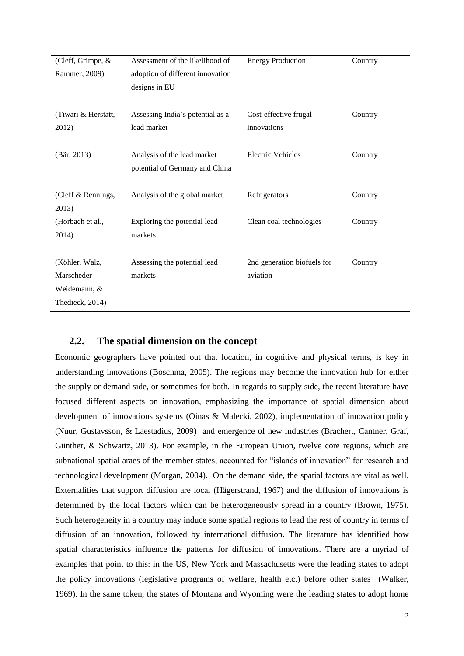| (Cleff, Grimpe, &    | Assessment of the likelihood of  | <b>Energy Production</b>    | Country |
|----------------------|----------------------------------|-----------------------------|---------|
| Rammer, 2009)        | adoption of different innovation |                             |         |
|                      | designs in EU                    |                             |         |
|                      |                                  |                             |         |
| (Tiwari & Herstatt,  | Assessing India's potential as a | Cost-effective frugal       | Country |
| 2012)                | lead market                      | innovations                 |         |
|                      |                                  |                             |         |
| $(B\ddot{a}r, 2013)$ | Analysis of the lead market      | <b>Electric Vehicles</b>    | Country |
|                      | potential of Germany and China   |                             |         |
|                      |                                  |                             |         |
| (Cleff & Rennings,   | Analysis of the global market    | Refrigerators               | Country |
| 2013)                |                                  |                             |         |
| (Horbach et al.,     | Exploring the potential lead     | Clean coal technologies     | Country |
| 2014)                | markets                          |                             |         |
|                      |                                  |                             |         |
| (Köhler, Walz,       | Assessing the potential lead     | 2nd generation biofuels for | Country |
| Marscheder-          | markets                          | aviation                    |         |
| Weidemann, &         |                                  |                             |         |
| Thedieck, 2014)      |                                  |                             |         |
|                      |                                  |                             |         |

# **2.2. The spatial dimension on the concept**

Economic geographers have pointed out that location, in cognitive and physical terms, is key in understanding innovations (Boschma, 2005). The regions may become the innovation hub for either the supply or demand side, or sometimes for both. In regards to supply side, the recent literature have focused different aspects on innovation, emphasizing the importance of spatial dimension about development of innovations systems (Oinas & Malecki, 2002), implementation of innovation policy (Nuur, Gustavsson, & Laestadius, 2009) and emergence of new industries (Brachert, Cantner, Graf, Günther, & Schwartz, 2013). For example, in the European Union, twelve core regions, which are subnational spatial araes of the member states, accounted for "islands of innovation" for research and technological development (Morgan, 2004). On the demand side, the spatial factors are vital as well. Externalities that support diffusion are local (Hägerstrand, 1967) and the diffusion of innovations is determined by the local factors which can be heterogeneously spread in a country (Brown, 1975). Such heterogeneity in a country may induce some spatial regions to lead the rest of country in terms of diffusion of an innovation, followed by international diffusion. The literature has identified how spatial characteristics influence the patterns for diffusion of innovations. There are a myriad of examples that point to this: in the US, New York and Massachusetts were the leading states to adopt the policy innovations (legislative programs of welfare, health etc.) before other states (Walker, 1969). In the same token, the states of Montana and Wyoming were the leading states to adopt home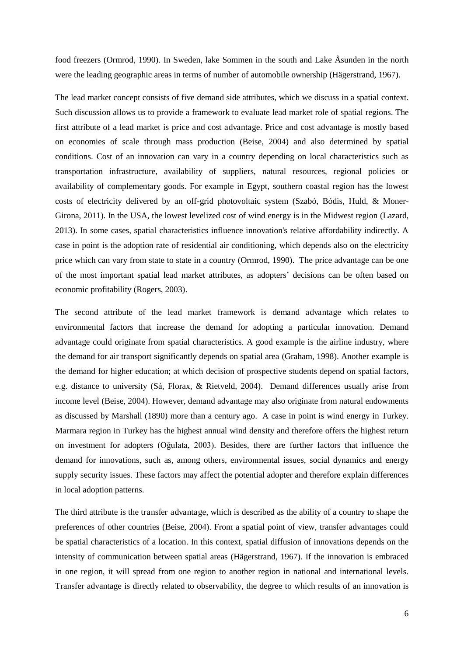food freezers (Ormrod, 1990). In Sweden, lake Sommen in the south and Lake Åsunden in the north were the leading geographic areas in terms of number of automobile ownership (Hägerstrand, 1967).

The lead market concept consists of five demand side attributes, which we discuss in a spatial context. Such discussion allows us to provide a framework to evaluate lead market role of spatial regions. The first attribute of a lead market is price and cost advantage. Price and cost advantage is mostly based on economies of scale through mass production (Beise, 2004) and also determined by spatial conditions. Cost of an innovation can vary in a country depending on local characteristics such as transportation infrastructure, availability of suppliers, natural resources, regional policies or availability of complementary goods. For example in Egypt, southern coastal region has the lowest costs of electricity delivered by an off-grid photovoltaic system (Szabó, Bódis, Huld, & Moner-Girona, 2011). In the USA, the lowest levelized cost of wind energy is in the Midwest region (Lazard, 2013). In some cases, spatial characteristics influence innovation's relative affordability indirectly. A case in point is the adoption rate of residential air conditioning, which depends also on the electricity price which can vary from state to state in a country (Ormrod, 1990). The price advantage can be one of the most important spatial lead market attributes, as adopters' decisions can be often based on economic profitability (Rogers, 2003).

<span id="page-5-0"></span>The second attribute of the lead market framework is demand advantage which relates to environmental factors that increase the demand for adopting a particular innovation. Demand advantage could originate from spatial characteristics. A good example is the airline industry, where the demand for air transport significantly depends on spatial area (Graham, 1998). Another example is the demand for higher education; at which decision of prospective students depend on spatial factors, e.g. distance to university (Sá, Florax, & Rietveld, 2004). Demand differences usually arise from income level (Beise, 2004). However, demand advantage may also originate from natural endowments as discussed by Marshall (1890) more than a century ago. A case in point is wind energy in Turkey. Marmara region in Turkey has the highest annual wind density and therefore offers the highest return on investment for adopters (Oğulata, 2003). Besides, there are further factors that influence the demand for innovations, such as, among others, environmental issues, social dynamics and energy supply security issues. These factors may affect the potential adopter and therefore explain differences in local adoption patterns.

The third attribute is the transfer advantage, which is described as the ability of a country to shape the preferences of other countries (Beise, 2004). From a spatial point of view, transfer advantages could be spatial characteristics of a location. In this context, spatial diffusion of innovations depends on the intensity of communication between spatial areas (Hägerstrand, 1967). If the innovation is embraced in one region, it will spread from one region to another region in national and international levels. Transfer advantage is directly related to observability, the degree to which results of an innovation is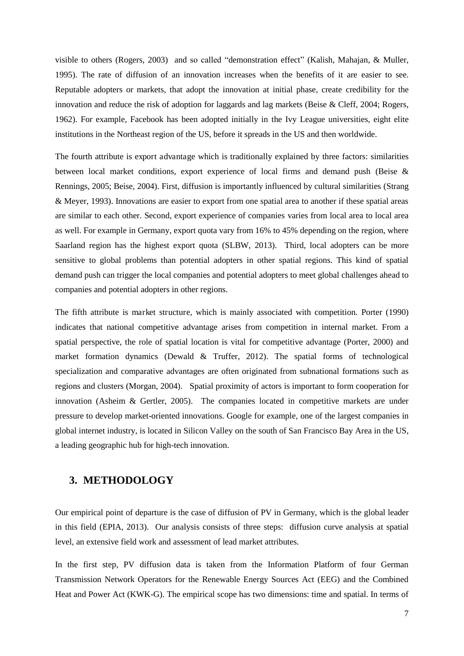visible to others (Rogers, 2003) and so called "demonstration effect" (Kalish, Mahajan, & Muller, 1995). The rate of diffusion of an innovation increases when the benefits of it are easier to see. Reputable adopters or markets, that adopt the innovation at initial phase, create credibility for the innovation and reduce the risk of adoption for laggards and lag markets (Beise & Cleff, 2004; Rogers, 1962). For example, Facebook has been adopted initially in the Ivy League universities, eight elite institutions in the Northeast region of the US, before it spreads in the US and then worldwide.

The fourth attribute is export advantage which is traditionally explained by three factors: similarities between local market conditions, export experience of local firms and demand push (Beise & Rennings, 2005; Beise, 2004). First, diffusion is importantly influenced by cultural similarities (Strang & Meyer, 1993). Innovations are easier to export from one spatial area to another if these spatial areas are similar to each other. Second, export experience of companies varies from local area to local area as well. For example in Germany, export quota vary from 16% to 45% depending on the region, where Saarland region has the highest export quota (SLBW, 2013). Third, local adopters can be more sensitive to global problems than potential adopters in other spatial regions. This kind of spatial demand push can trigger the local companies and potential adopters to meet global challenges ahead to companies and potential adopters in other regions.

The fifth attribute is market structure, which is mainly associated with competition. Porter (1990) indicates that national competitive advantage arises from competition in internal market. From a spatial perspective, the role of spatial location is vital for competitive advantage (Porter, 2000) and market formation dynamics (Dewald & Truffer, 2012). The spatial forms of technological specialization and comparative advantages are often originated from subnational formations such as regions and clusters (Morgan, 2004). Spatial proximity of actors is important to form cooperation for innovation (Asheim & Gertler, 2005). The companies located in competitive markets are under pressure to develop market-oriented innovations. Google for example, one of the largest companies in global internet industry, is located in Silicon Valley on the south of San Francisco Bay Area in the US, a leading geographic hub for high-tech innovation.

## **3. METHODOLOGY**

Our empirical point of departure is the case of diffusion of PV in Germany, which is the global leader in this field (EPIA, 2013). Our analysis consists of three steps: diffusion curve analysis at spatial level, an extensive field work and assessment of lead market attributes.

<span id="page-6-0"></span>In the first step, PV diffusion data is taken from the Information Platform of four German Transmission Network Operators for the Renewable Energy Sources Act (EEG) and the Combined Heat and Power Act (KWK-G). The empirical scope has two dimensions: time and spatial. In terms of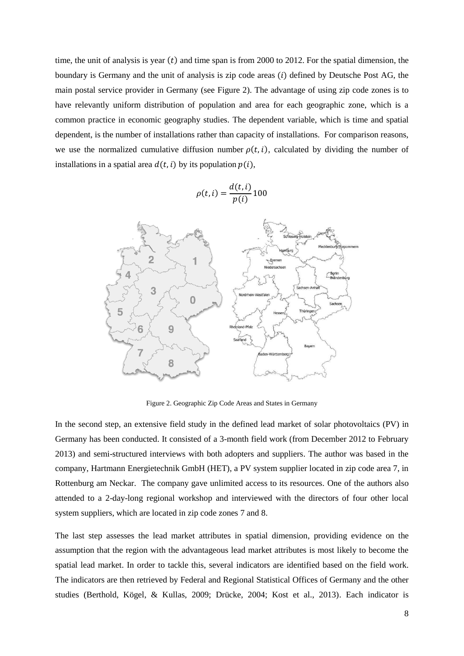time, the unit of analysis is year  $(t)$  and time span is from 2000 to 2012. For the spatial dimension, the boundary is Germany and the unit of analysis is zip code areas  $(i)$  defined by Deutsche Post AG, the main postal service provider in Germany (see [Figure 2\)](#page-5-0). The advantage of using zip code zones is to have relevantly uniform distribution of population and area for each geographic zone, which is a common practice in economic geography studies. The dependent variable, which is time and spatial dependent, is the number of installations rather than capacity of installations. For comparison reasons, we use the normalized cumulative diffusion number  $\rho(t, i)$ , calculated by dividing the number of installations in a spatial area  $d(t, i)$  by its population  $p(i)$ ,

$$
\rho(t,i) = \frac{d(t,i)}{p(i)}100
$$



Figure 2. Geographic Zip Code Areas and States in Germany

In the second step, an extensive field study in the defined lead market of solar photovoltaics (PV) in Germany has been conducted. It consisted of a 3-month field work (from December 2012 to February 2013) and semi-structured interviews with both adopters and suppliers. The author was based in the company, Hartmann Energietechnik GmbH (HET), a PV system supplier located in zip code area 7, in Rottenburg am Neckar. The company gave unlimited access to its resources. One of the authors also attended to a 2-day-long regional workshop and interviewed with the directors of four other local system suppliers, which are located in zip code zones 7 and 8.

The last step assesses the lead market attributes in spatial dimension, providing evidence on the assumption that the region with the advantageous lead market attributes is most likely to become the spatial lead market. In order to tackle this, several indicators are identified based on the field work. The indicators are then retrieved by Federal and Regional Statistical Offices of Germany and the other studies (Berthold, Kögel, & Kullas, 2009; Drücke, 2004; Kost et al., 2013). Each indicator is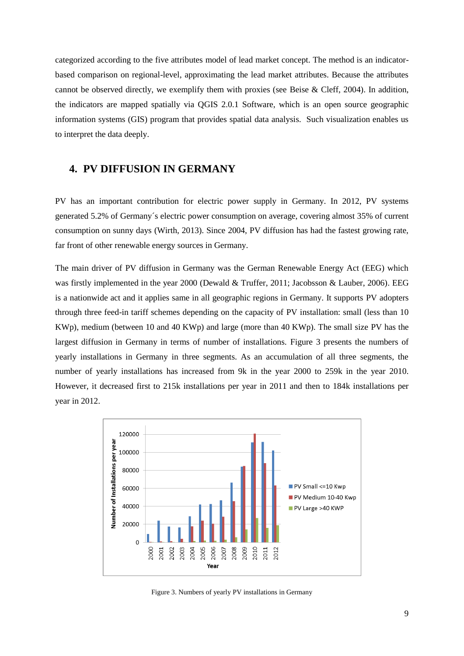categorized according to the five attributes model of lead market concept. The method is an indicatorbased comparison on regional-level, approximating the lead market attributes. Because the attributes cannot be observed directly, we exemplify them with proxies (see Beise & Cleff, 2004). In addition, the indicators are mapped spatially via QGIS 2.0.1 Software, which is an open source geographic information systems (GIS) program that provides spatial data analysis. Such visualization enables us to interpret the data deeply.

# **4. PV DIFFUSION IN GERMANY**

<span id="page-8-0"></span>PV has an important contribution for electric power supply in Germany. In 2012, PV systems generated 5.2% of Germany´s electric power consumption on average, covering almost 35% of current consumption on sunny days (Wirth, 2013). Since 2004, PV diffusion has had the fastest growing rate, far front of other renewable energy sources in Germany.

The main driver of PV diffusion in Germany was the German Renewable Energy Act (EEG) which was firstly implemented in the year 2000 (Dewald & Truffer, 2011; Jacobsson & Lauber, 2006). EEG is a nationwide act and it applies same in all geographic regions in Germany. It supports PV adopters through three feed-in tariff schemes depending on the capacity of PV installation: small (less than 10 KWp), medium (between 10 and 40 KWp) and large (more than 40 KWp). The small size PV has the largest diffusion in Germany in terms of number of installations. [Figure 3](#page-6-0) presents the numbers of yearly installations in Germany in three segments. As an accumulation of all three segments, the number of yearly installations has increased from 9k in the year 2000 to 259k in the year 2010. However, it decreased first to 215k installations per year in 2011 and then to 184k installations per year in 2012.

<span id="page-8-2"></span><span id="page-8-1"></span>

Figure 3. Numbers of yearly PV installations in Germany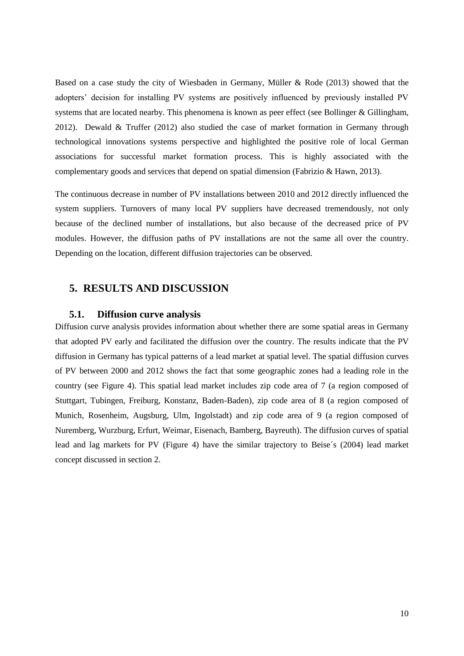<span id="page-9-0"></span>Based on a case study the city of Wiesbaden in Germany, Müller & Rode (2013) showed that the adopters' decision for installing PV systems are positively influenced by previously installed PV systems that are located nearby. This phenomena is known as peer effect (see Bollinger & Gillingham, 2012). Dewald & Truffer (2012) also studied the case of market formation in Germany through technological innovations systems perspective and highlighted the positive role of local German associations for successful market formation process. This is highly associated with the complementary goods and services that depend on spatial dimension (Fabrizio & Hawn, 2013).

The continuous decrease in number of PV installations between 2010 and 2012 directly influenced the system suppliers. Turnovers of many local PV suppliers have decreased tremendously, not only because of the declined number of installations, but also because of the decreased price of PV modules. However, the diffusion paths of PV installations are not the same all over the country. Depending on the location, different diffusion trajectories can be observed.

# **5. RESULTS AND DISCUSSION**

#### **5.1. Diffusion curve analysis**

Diffusion curve analysis provides information about whether there are some spatial areas in Germany that adopted PV early and facilitated the diffusion over the country. The results indicate that the PV diffusion in Germany has typical patterns of a lead market at spatial level. The spatial diffusion curves of PV between 2000 and 2012 shows the fact that some geographic zones had a leading role in the country (see [Figure 4\)](#page-8-0). This spatial lead market includes zip code area of 7 (a region composed of Stuttgart, Tubingen, Freiburg, Konstanz, Baden-Baden), zip code area of 8 (a region composed of Munich, Rosenheim, Augsburg, Ulm, Ingolstadt) and zip code area of 9 (a region composed of Nuremberg, Wurzburg, Erfurt, Weimar, Eisenach, Bamberg, Bayreuth). The diffusion curves of spatial lead and lag markets for PV [\(Figure 4\)](#page-8-0) have the similar trajectory to Beise´s (2004) lead market concept discussed in section 2.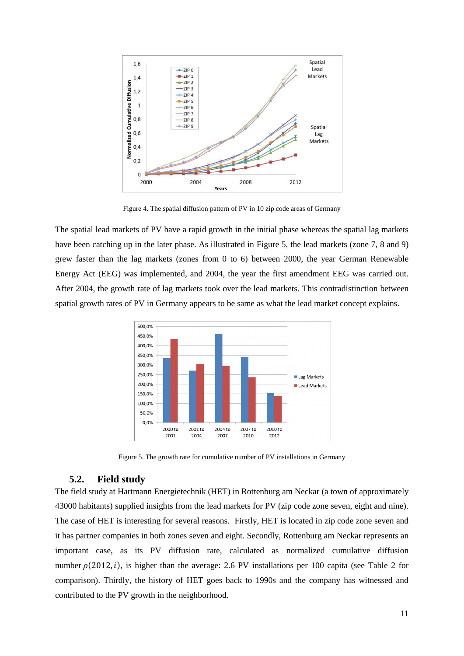

Figure 4. The spatial diffusion pattern of PV in 10 zip code areas of Germany

The spatial lead markets of PV have a rapid growth in the initial phase whereas the spatial lag markets have been catching up in the later phase. As illustrated in [Figure 5,](#page-8-1) the lead markets (zone 7, 8 and 9) grew faster than the lag markets (zones from 0 to 6) between 2000, the year German Renewable Energy Act (EEG) was implemented, and 2004, the year the first amendment EEG was carried out. After 2004, the growth rate of lag markets took over the lead markets. This contradistinction between spatial growth rates of PV in Germany appears to be same as what the lead market concept explains.



Figure 5. The growth rate for cumulative number of PV installations in Germany

## **5.2. Field study**

The field study at Hartmann Energietechnik (HET) in Rottenburg am Neckar (a town of approximately 43000 habitants) supplied insights from the lead markets for PV (zip code zone seven, eight and nine). The case of HET is interesting for several reasons. Firstly, HET is located in zip code zone seven and it has partner companies in both zones seven and eight. Secondly, Rottenburg am Neckar represents an important case, as its PV diffusion rate, calculated as normalized cumulative diffusion number  $\rho(2012, i)$ , is higher than the average: 2.6 PV installations per 100 capita (see [Table 2](#page-9-0) for comparison). Thirdly, the history of HET goes back to 1990s and the company has witnessed and contributed to the PV growth in the neighborhood.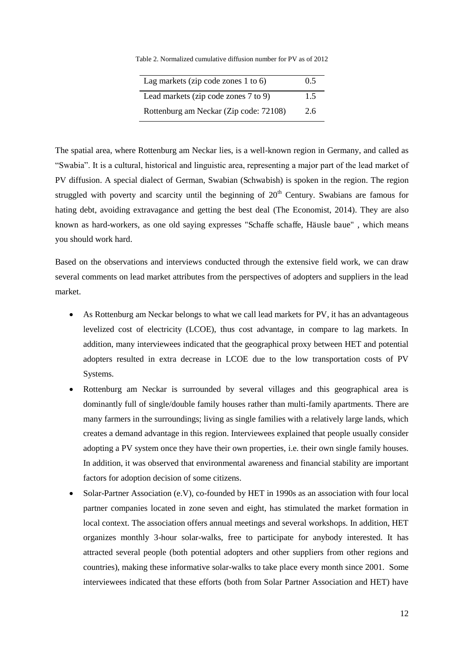Table 2. Normalized cumulative diffusion number for PV as of 2012

| Lag markets (zip code zones $1$ to $6$ ) | 0.5 |
|------------------------------------------|-----|
| Lead markets (zip code zones 7 to 9)     | 1.5 |
| Rottenburg am Neckar (Zip code: 72108)   | 2.6 |

The spatial area, where Rottenburg am Neckar lies, is a well-known region in Germany, and called as "Swabia". It is a cultural, historical and linguistic area, representing a major part of the lead market of PV diffusion. A special dialect of German, Swabian (Schwabish) is spoken in the region. The region struggled with poverty and scarcity until the beginning of  $20<sup>th</sup>$  Century. Swabians are famous for hating debt, avoiding extravagance and getting the best deal (The Economist, 2014). They are also known as hard-workers, as one old saying expresses "Schaffe schaffe, Häusle baue" , which means you should work hard.

Based on the observations and interviews conducted through the extensive field work, we can draw several comments on lead market attributes from the perspectives of adopters and suppliers in the lead market.

- As Rottenburg am Neckar belongs to what we call lead markets for PV, it has an advantageous levelized cost of electricity (LCOE), thus cost advantage, in compare to lag markets. In addition, many interviewees indicated that the geographical proxy between HET and potential adopters resulted in extra decrease in LCOE due to the low transportation costs of PV Systems.
- Rottenburg am Neckar is surrounded by several villages and this geographical area is dominantly full of single/double family houses rather than multi-family apartments. There are many farmers in the surroundings; living as single families with a relatively large lands, which creates a demand advantage in this region. Interviewees explained that people usually consider adopting a PV system once they have their own properties, i.e. their own single family houses. In addition, it was observed that environmental awareness and financial stability are important factors for adoption decision of some citizens.
- Solar-Partner Association (e.V), co-founded by HET in 1990s as an association with four local partner companies located in zone seven and eight, has stimulated the market formation in local context. The association offers annual meetings and several workshops. In addition, HET organizes monthly 3-hour solar-walks, free to participate for anybody interested. It has attracted several people (both potential adopters and other suppliers from other regions and countries), making these informative solar-walks to take place every month since 2001. Some interviewees indicated that these efforts (both from Solar Partner Association and HET) have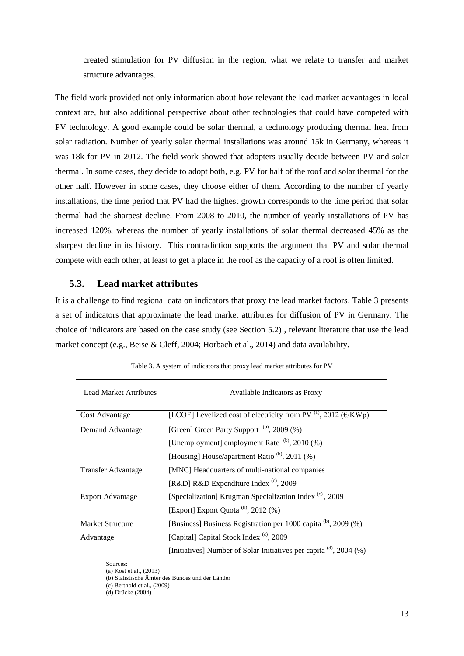created stimulation for PV diffusion in the region, what we relate to transfer and market structure advantages.

The field work provided not only information about how relevant the lead market advantages in local context are, but also additional perspective about other technologies that could have competed with PV technology. A good example could be solar thermal, a technology producing thermal heat from solar radiation. Number of yearly solar thermal installations was around 15k in Germany, whereas it was 18k for PV in 2012. The field work showed that adopters usually decide between PV and solar thermal. In some cases, they decide to adopt both, e.g. PV for half of the roof and solar thermal for the other half. However in some cases, they choose either of them. According to the number of yearly installations, the time period that PV had the highest growth corresponds to the time period that solar thermal had the sharpest decline. From 2008 to 2010, the number of yearly installations of PV has increased 120%, whereas the number of yearly installations of solar thermal decreased 45% as the sharpest decline in its history. This contradiction supports the argument that PV and solar thermal compete with each other, at least to get a place in the roof as the capacity of a roof is often limited.

## **5.3. Lead market attributes**

It is a challenge to find regional data on indicators that proxy the lead market factors. Table 3 presents a set of indicators that approximate the lead market attributes for diffusion of PV in Germany. The choice of indicators are based on the case study (see Section [5.2\)](#page-8-2) , relevant literature that use the lead market concept (e.g., Beise & Cleff, 2004; Horbach et al., 2014) and data availability.

| <b>Lead Market Attributes</b> | Available Indicators as Proxy                                                   |
|-------------------------------|---------------------------------------------------------------------------------|
| Cost Advantage                | [LCOE] Levelized cost of electricity from PV $^{(a)}$ , 2012 ( $\epsilon$ /KWp) |
| Demand Advantage              | [Green] Green Party Support (b), 2009 (%)                                       |
|                               | [Unemployment] employment Rate $(b)$ , 2010 (%)                                 |
|                               | [Housing] House/apartment Ratio <sup>(b)</sup> , 2011 (%)                       |
| <b>Transfer Advantage</b>     | [MNC] Headquarters of multi-national companies                                  |
|                               | [R&D] R&D Expenditure Index $(c)$ , 2009                                        |
| Export Advantage              | [Specialization] Krugman Specialization Index <sup>(c)</sup> , 2009             |
|                               | [Export] Export Quota $^{(b)}$ , 2012 $(%)$                                     |
| <b>Market Structure</b>       | [Business] Business Registration per 1000 capita (b), 2009 (%)                  |
| Advantage                     | [Capital] Capital Stock Index (c), 2009                                         |
|                               | [Initiatives] Number of Solar Initiatives per capita $^{(d)}$ , 2004 $(\%)$     |

Table 3. A system of indicators that proxy lead market attributes for PV

Sources: (a) Kost et al., (2013)

<sup>(</sup>b) Statistische Ämter des Bundes und der Länder

<sup>(</sup>c) Berthold et al., (2009)

<sup>(</sup>d) Drücke (2004)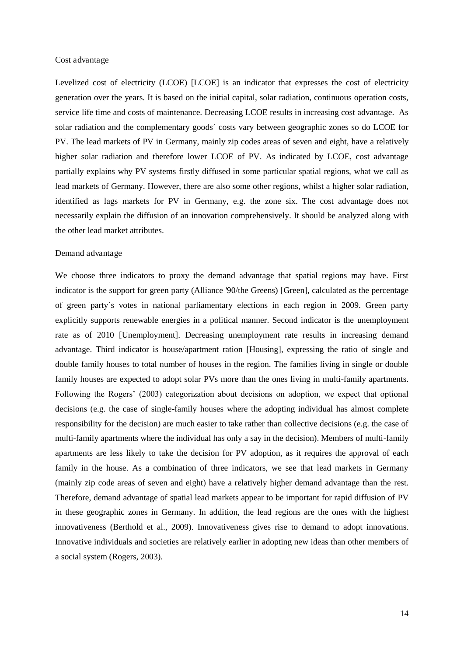#### Cost advantage

<span id="page-13-0"></span>Levelized cost of electricity (LCOE) [LCOE] is an indicator that expresses the cost of electricity generation over the years. It is based on the initial capital, solar radiation, continuous operation costs, service life time and costs of maintenance. Decreasing LCOE results in increasing cost advantage. As solar radiation and the complementary goods´ costs vary between geographic zones so do LCOE for PV. The lead markets of PV in Germany, mainly zip codes areas of seven and eight, have a relatively higher solar radiation and therefore lower LCOE of PV. As indicated by LCOE, cost advantage partially explains why PV systems firstly diffused in some particular spatial regions, what we call as lead markets of Germany. However, there are also some other regions, whilst a higher solar radiation, identified as lags markets for PV in Germany, e.g. the zone six. The cost advantage does not necessarily explain the diffusion of an innovation comprehensively. It should be analyzed along with the other lead market attributes.

#### Demand advantage

We choose three indicators to proxy the demand advantage that spatial regions may have. First indicator is the support for green party (Alliance '90/the Greens) [Green], calculated as the percentage of green party´s votes in national parliamentary elections in each region in 2009. Green party explicitly supports renewable energies in a political manner. Second indicator is the unemployment rate as of 2010 [Unemployment]. Decreasing unemployment rate results in increasing demand advantage. Third indicator is house/apartment ration [Housing], expressing the ratio of single and double family houses to total number of houses in the region. The families living in single or double family houses are expected to adopt solar PVs more than the ones living in multi-family apartments. Following the Rogers' (2003) categorization about decisions on adoption, we expect that optional decisions (e.g. the case of single-family houses where the adopting individual has almost complete responsibility for the decision) are much easier to take rather than collective decisions (e.g. the case of multi-family apartments where the individual has only a say in the decision). Members of multi-family apartments are less likely to take the decision for PV adoption, as it requires the approval of each family in the house. As a combination of three indicators, we see that lead markets in Germany (mainly zip code areas of seven and eight) have a relatively higher demand advantage than the rest. Therefore, demand advantage of spatial lead markets appear to be important for rapid diffusion of PV in these geographic zones in Germany. In addition, the lead regions are the ones with the highest innovativeness (Berthold et al., 2009). Innovativeness gives rise to demand to adopt innovations. Innovative individuals and societies are relatively earlier in adopting new ideas than other members of a social system (Rogers, 2003).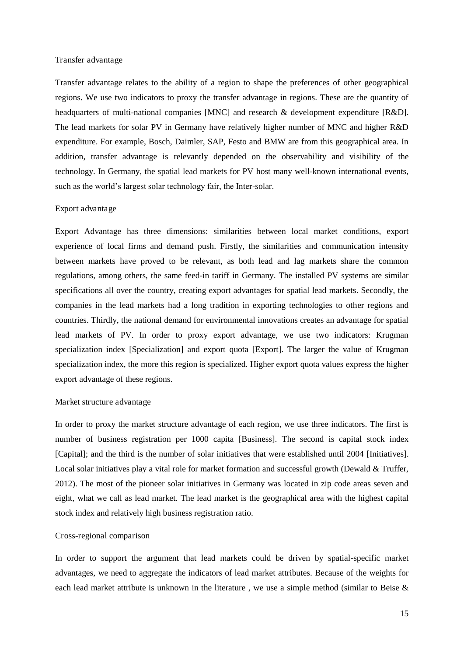#### <span id="page-14-0"></span>Transfer advantage

Transfer advantage relates to the ability of a region to shape the preferences of other geographical regions. We use two indicators to proxy the transfer advantage in regions. These are the quantity of headquarters of multi-national companies [MNC] and research & development expenditure [R&D]. The lead markets for solar PV in Germany have relatively higher number of MNC and higher R&D expenditure. For example, Bosch, Daimler, SAP, Festo and BMW are from this geographical area. In addition, transfer advantage is relevantly depended on the observability and visibility of the technology. In Germany, the spatial lead markets for PV host many well-known international events, such as the world's largest solar technology fair, the Inter-solar.

## Export advantage

Export Advantage has three dimensions: similarities between local market conditions, export experience of local firms and demand push. Firstly, the similarities and communication intensity between markets have proved to be relevant, as both lead and lag markets share the common regulations, among others, the same feed-in tariff in Germany. The installed PV systems are similar specifications all over the country, creating export advantages for spatial lead markets. Secondly, the companies in the lead markets had a long tradition in exporting technologies to other regions and countries. Thirdly, the national demand for environmental innovations creates an advantage for spatial lead markets of PV. In order to proxy export advantage, we use two indicators: Krugman specialization index [Specialization] and export quota [Export]. The larger the value of Krugman specialization index, the more this region is specialized. Higher export quota values express the higher export advantage of these regions.

#### Market structure advantage

In order to proxy the market structure advantage of each region, we use three indicators. The first is number of business registration per 1000 capita [Business]. The second is capital stock index [Capital]; and the third is the number of solar initiatives that were established until 2004 [Initiatives]. Local solar initiatives play a vital role for market formation and successful growth (Dewald & Truffer, 2012). The most of the pioneer solar initiatives in Germany was located in zip code areas seven and eight, what we call as lead market. The lead market is the geographical area with the highest capital stock index and relatively high business registration ratio.

#### Cross-regional comparison

In order to support the argument that lead markets could be driven by spatial-specific market advantages, we need to aggregate the indicators of lead market attributes. Because of the weights for each lead market attribute is unknown in the literature , we use a simple method (similar to Beise &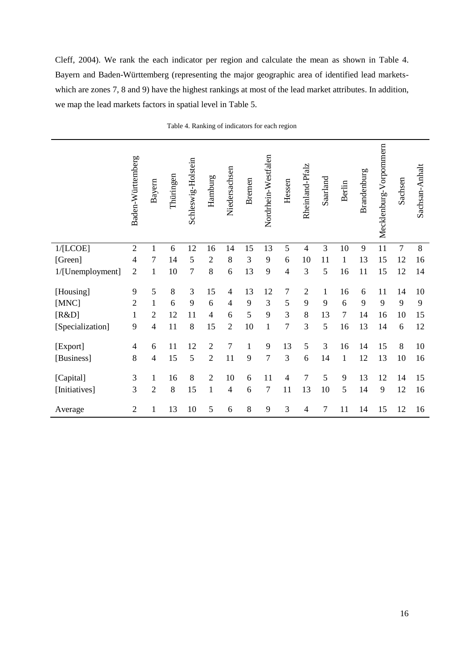Cleff, 2004). We rank the each indicator per region and calculate the mean as shown in [Table 4.](#page-13-0) Bayern and Baden-Württemberg (representing the major geographic area of identified lead marketswhich are zones 7, 8 and 9) have the highest rankings at most of the lead market attributes. In addition, we map the lead markets factors in spatial level in [Table 5.](#page-14-0)

|                  | Baden-Württemberg | Bayern         | Thüringen | Schleswig-Holstein | Hamburg        | Niedersachsen  | <b>Bremen</b> | Nordrhein-Westfalen | Hessen         | Rheinland-Pfalz | Saarland     | <b>Berlin</b> | Brandenburg | Mecklenburg-Vorpommern | Sachsen        | Sachsan-Anhalt |
|------------------|-------------------|----------------|-----------|--------------------|----------------|----------------|---------------|---------------------|----------------|-----------------|--------------|---------------|-------------|------------------------|----------------|----------------|
| 1/[LCOE]         | $\overline{2}$    | $\mathbf{1}$   | 6         | 12                 | 16             | 14             | 15            | 13                  | 5              | $\overline{4}$  | 3            | 10            | 9           | 11                     | $\overline{7}$ | $8\,$          |
| [Green]          | $\overline{4}$    | $\overline{7}$ | 14        | 5                  | $\overline{2}$ | 8              | 3             | 9                   | 6              | 10              | 11           | $\mathbf{1}$  | 13          | 15                     | 12             | 16             |
| 1/[Unemployment] | $\overline{2}$    | $\mathbf{1}$   | 10        | 7                  | 8              | 6              | 13            | 9                   | $\overline{4}$ | 3               | 5            | 16            | 11          | 15                     | 12             | 14             |
| [Housing]        | 9                 | 5              | 8         | 3                  | 15             | $\overline{4}$ | 13            | 12                  | $\tau$         | $\overline{2}$  | $\mathbf{1}$ | 16            | 6           | 11                     | 14             | 10             |
| [MNC]            | $\overline{2}$    | $\mathbf{1}$   | 6         | 9                  | 6              | $\overline{4}$ | 9             | 3                   | 5              | 9               | 9            | 6             | 9           | 9                      | 9              | 9              |
| [R&D]            | $\mathbf{1}$      | $\overline{2}$ | 12        | 11                 | $\overline{4}$ | 6              | 5             | 9                   | 3              | $8\,$           | 13           | 7             | 14          | 16                     | 10             | 15             |
|                  | 9                 | 4              | 11        | 8                  | 15             | $\overline{2}$ | 10            | $\mathbf{1}$        | $\overline{7}$ | 3               | 5            | 16            | 13          | 14                     | 6              | 12             |
| [Specialization] |                   |                |           |                    |                |                |               |                     |                |                 |              |               |             |                        |                |                |
| [Export]         | 4                 | 6              | 11        | 12                 | $\overline{2}$ | $\overline{7}$ | $\mathbf{1}$  | 9                   | 13             | 5               | 3            | 16            | 14          | 15                     | 8              | 10             |
| [Business]       | 8                 | 4              | 15        | 5                  | $\overline{2}$ | 11             | 9             | 7                   | 3              | 6               | 14           | $\mathbf{1}$  | 12          | 13                     | 10             | 16             |
|                  |                   |                |           |                    |                |                |               |                     |                |                 |              |               |             |                        |                |                |
| [Capital]        | $\mathfrak{Z}$    | $\mathbf{1}$   | 16        | 8                  | $\overline{2}$ | 10             | 6             | 11                  | $\overline{4}$ | $\overline{7}$  | 5            | 9             | 13          | 12                     | 14             | 15             |
| [Initiatives]    | 3                 | $\overline{2}$ | 8         | 15                 | $\mathbf{1}$   | 4              | 6             | $\overline{7}$      | 11             | 13              | 10           | 5             | 14          | 9                      | 12             | 16             |
| Average          | $\sqrt{2}$        | $\mathbf{1}$   | 13        | 10                 | 5              | 6              | 8             | 9                   | 3              | $\overline{4}$  | 7            | 11            | 14          | 15                     | 12             | 16             |

|  | Table 4. Ranking of indicators for each region |  |  |
|--|------------------------------------------------|--|--|
|  |                                                |  |  |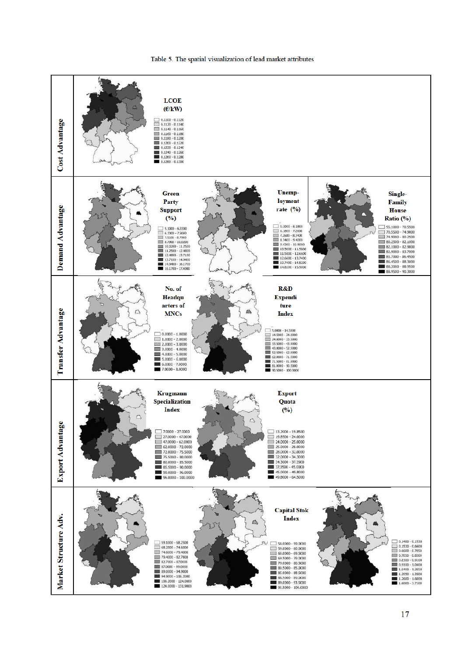

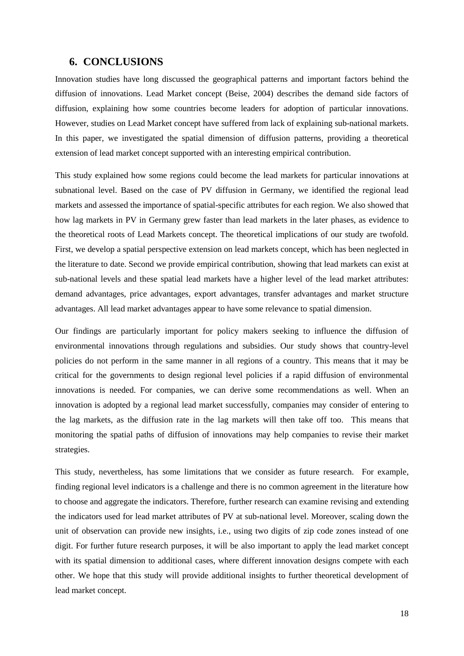## **6. CONCLUSIONS**

Innovation studies have long discussed the geographical patterns and important factors behind the diffusion of innovations. Lead Market concept (Beise, 2004) describes the demand side factors of diffusion, explaining how some countries become leaders for adoption of particular innovations. However, studies on Lead Market concept have suffered from lack of explaining sub-national markets. In this paper, we investigated the spatial dimension of diffusion patterns, providing a theoretical extension of lead market concept supported with an interesting empirical contribution.

This study explained how some regions could become the lead markets for particular innovations at subnational level. Based on the case of PV diffusion in Germany, we identified the regional lead markets and assessed the importance of spatial-specific attributes for each region. We also showed that how lag markets in PV in Germany grew faster than lead markets in the later phases, as evidence to the theoretical roots of Lead Markets concept. The theoretical implications of our study are twofold. First, we develop a spatial perspective extension on lead markets concept, which has been neglected in the literature to date. Second we provide empirical contribution, showing that lead markets can exist at sub-national levels and these spatial lead markets have a higher level of the lead market attributes: demand advantages, price advantages, export advantages, transfer advantages and market structure advantages. All lead market advantages appear to have some relevance to spatial dimension.

Our findings are particularly important for policy makers seeking to influence the diffusion of environmental innovations through regulations and subsidies. Our study shows that country-level policies do not perform in the same manner in all regions of a country. This means that it may be critical for the governments to design regional level policies if a rapid diffusion of environmental innovations is needed. For companies, we can derive some recommendations as well. When an innovation is adopted by a regional lead market successfully, companies may consider of entering to the lag markets, as the diffusion rate in the lag markets will then take off too. This means that monitoring the spatial paths of diffusion of innovations may help companies to revise their market strategies.

This study, nevertheless, has some limitations that we consider as future research. For example, finding regional level indicators is a challenge and there is no common agreement in the literature how to choose and aggregate the indicators. Therefore, further research can examine revising and extending the indicators used for lead market attributes of PV at sub-national level. Moreover, scaling down the unit of observation can provide new insights, i.e., using two digits of zip code zones instead of one digit. For further future research purposes, it will be also important to apply the lead market concept with its spatial dimension to additional cases, where different innovation designs compete with each other. We hope that this study will provide additional insights to further theoretical development of lead market concept.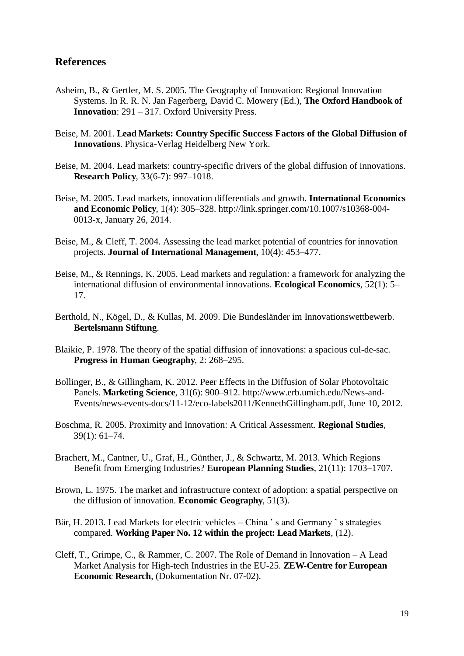# **References**

- Asheim, B., & Gertler, M. S. 2005. The Geography of Innovation: Regional Innovation Systems. In R. R. N. Jan Fagerberg, David C. Mowery (Ed.), **The Oxford Handbook of Innovation**: 291 – 317. Oxford University Press.
- Beise, M. 2001. **Lead Markets: Country Specific Success Factors of the Global Diffusion of Innovations**. Physica-Verlag Heidelberg New York.
- Beise, M. 2004. Lead markets: country-specific drivers of the global diffusion of innovations. **Research Policy**, 33(6-7): 997–1018.
- Beise, M. 2005. Lead markets, innovation differentials and growth. **International Economics and Economic Policy**, 1(4): 305–328. http://link.springer.com/10.1007/s10368-004- 0013-x, January 26, 2014.
- Beise, M., & Cleff, T. 2004. Assessing the lead market potential of countries for innovation projects. **Journal of International Management**, 10(4): 453–477.
- Beise, M., & Rennings, K. 2005. Lead markets and regulation: a framework for analyzing the international diffusion of environmental innovations. **Ecological Economics**, 52(1): 5– 17.
- Berthold, N., Kögel, D., & Kullas, M. 2009. Die Bundesländer im Innovationswettbewerb. **Bertelsmann Stiftung**.
- Blaikie, P. 1978. The theory of the spatial diffusion of innovations: a spacious cul-de-sac. **Progress in Human Geography**, 2: 268–295.
- Bollinger, B., & Gillingham, K. 2012. Peer Effects in the Diffusion of Solar Photovoltaic Panels. **Marketing Science**, 31(6): 900–912. http://www.erb.umich.edu/News-and-Events/news-events-docs/11-12/eco-labels2011/KennethGillingham.pdf, June 10, 2012.
- Boschma, R. 2005. Proximity and Innovation: A Critical Assessment. **Regional Studies**, 39(1): 61–74.
- Brachert, M., Cantner, U., Graf, H., Günther, J., & Schwartz, M. 2013. Which Regions Benefit from Emerging Industries? **European Planning Studies**, 21(11): 1703–1707.
- Brown, L. 1975. The market and infrastructure context of adoption: a spatial perspective on the diffusion of innovation. **Economic Geography**, 51(3).
- Bär, H. 2013. Lead Markets for electric vehicles China ' s and Germany ' s strategies compared. **Working Paper No. 12 within the project: Lead Markets**, (12).
- Cleff, T., Grimpe, C., & Rammer, C. 2007. The Role of Demand in Innovation A Lead Market Analysis for High-tech Industries in the EU-25. **ZEW-Centre for European Economic Research**, (Dokumentation Nr. 07-02).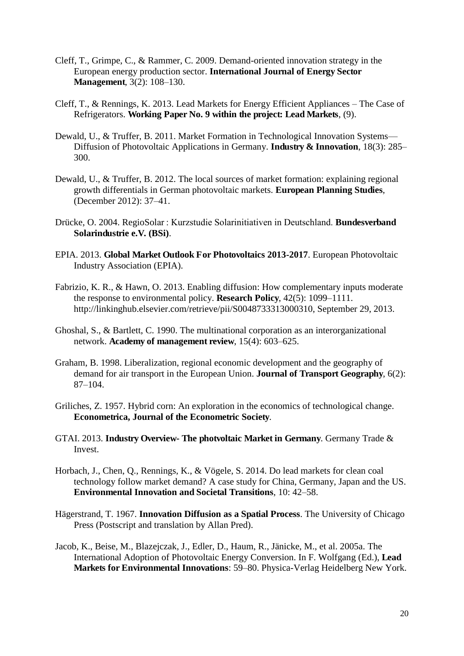- Cleff, T., Grimpe, C., & Rammer, C. 2009. Demand-oriented innovation strategy in the European energy production sector. **International Journal of Energy Sector Management**, 3(2): 108–130.
- Cleff, T., & Rennings, K. 2013. Lead Markets for Energy Efficient Appliances The Case of Refrigerators. **Working Paper No. 9 within the project: Lead Markets**, (9).
- Dewald, U., & Truffer, B. 2011. Market Formation in Technological Innovation Systems— Diffusion of Photovoltaic Applications in Germany. **Industry & Innovation**, 18(3): 285– 300.
- Dewald, U., & Truffer, B. 2012. The local sources of market formation: explaining regional growth differentials in German photovoltaic markets. **European Planning Studies**, (December 2012): 37–41.
- Drücke, O. 2004. RegioSolar : Kurzstudie Solarinitiativen in Deutschland. **Bundesverband Solarindustrie e.V. (BSi)**.
- EPIA. 2013. **Global Market Outlook For Photovoltaics 2013-2017**. European Photovoltaic Industry Association (EPIA).
- Fabrizio, K. R., & Hawn, O. 2013. Enabling diffusion: How complementary inputs moderate the response to environmental policy. **Research Policy**, 42(5): 1099–1111. http://linkinghub.elsevier.com/retrieve/pii/S0048733313000310, September 29, 2013.
- Ghoshal, S., & Bartlett, C. 1990. The multinational corporation as an interorganizational network. **Academy of management review**, 15(4): 603–625.
- Graham, B. 1998. Liberalization, regional economic development and the geography of demand for air transport in the European Union. **Journal of Transport Geography**, 6(2): 87–104.
- Griliches, Z. 1957. Hybrid corn: An exploration in the economics of technological change. **Econometrica, Journal of the Econometric Society**.
- GTAI. 2013. **Industry Overview- The photvoltaic Market in Germany**. Germany Trade & **Invest**
- Horbach, J., Chen, Q., Rennings, K., & Vögele, S. 2014. Do lead markets for clean coal technology follow market demand? A case study for China, Germany, Japan and the US. **Environmental Innovation and Societal Transitions**, 10: 42–58.
- Hägerstrand, T. 1967. **Innovation Diffusion as a Spatial Process**. The University of Chicago Press (Postscript and translation by Allan Pred).
- Jacob, K., Beise, M., Blazejczak, J., Edler, D., Haum, R., Jänicke, M., et al. 2005a. The International Adoption of Photovoltaic Energy Conversion. In F. Wolfgang (Ed.), **Lead Markets for Environmental Innovations**: 59–80. Physica-Verlag Heidelberg New York.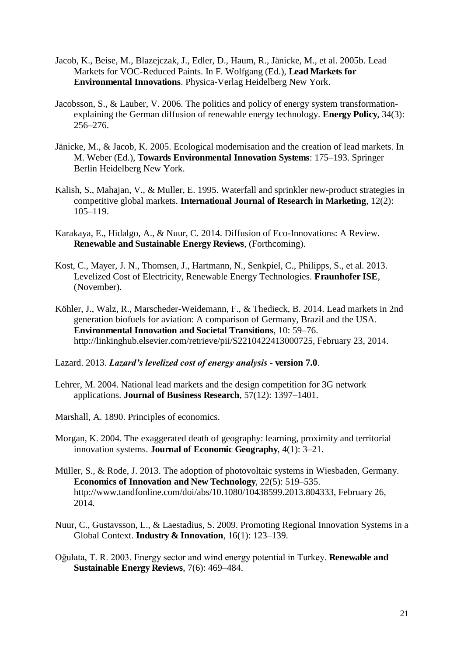- Jacob, K., Beise, M., Blazejczak, J., Edler, D., Haum, R., Jänicke, M., et al. 2005b. Lead Markets for VOC-Reduced Paints. In F. Wolfgang (Ed.), **Lead Markets for Environmental Innovations**. Physica-Verlag Heidelberg New York.
- Jacobsson, S., & Lauber, V. 2006. The politics and policy of energy system transformationexplaining the German diffusion of renewable energy technology. **Energy Policy**, 34(3): 256–276.
- Jänicke, M., & Jacob, K. 2005. Ecological modernisation and the creation of lead markets. In M. Weber (Ed.), **Towards Environmental Innovation Systems**: 175–193. Springer Berlin Heidelberg New York.
- Kalish, S., Mahajan, V., & Muller, E. 1995. Waterfall and sprinkler new-product strategies in competitive global markets. **International Journal of Research in Marketing**, 12(2): 105–119.
- Karakaya, E., Hidalgo, A., & Nuur, C. 2014. Diffusion of Eco-Innovations: A Review. **Renewable and Sustainable Energy Reviews**, (Forthcoming).
- Kost, C., Mayer, J. N., Thomsen, J., Hartmann, N., Senkpiel, C., Philipps, S., et al. 2013. Levelized Cost of Electricity, Renewable Energy Technologies. **Fraunhofer ISE**, (November).
- Köhler, J., Walz, R., Marscheder-Weidemann, F., & Thedieck, B. 2014. Lead markets in 2nd generation biofuels for aviation: A comparison of Germany, Brazil and the USA. **Environmental Innovation and Societal Transitions**, 10: 59–76. http://linkinghub.elsevier.com/retrieve/pii/S2210422413000725, February 23, 2014.
- Lazard. 2013. *Lazard's levelized cost of energy analysis*  **version 7.0**.
- Lehrer, M. 2004. National lead markets and the design competition for 3G network applications. **Journal of Business Research**, 57(12): 1397–1401.
- Marshall, A. 1890. Principles of economics.
- Morgan, K. 2004. The exaggerated death of geography: learning, proximity and territorial innovation systems. **Journal of Economic Geography**, 4(1): 3–21.
- Müller, S., & Rode, J. 2013. The adoption of photovoltaic systems in Wiesbaden, Germany. **Economics of Innovation and New Technology**, 22(5): 519–535. http://www.tandfonline.com/doi/abs/10.1080/10438599.2013.804333, February 26, 2014.
- Nuur, C., Gustavsson, L., & Laestadius, S. 2009. Promoting Regional Innovation Systems in a Global Context. **Industry & Innovation**, 16(1): 123–139.
- Oğulata, T. R. 2003. Energy sector and wind energy potential in Turkey. **Renewable and Sustainable Energy Reviews**, 7(6): 469–484.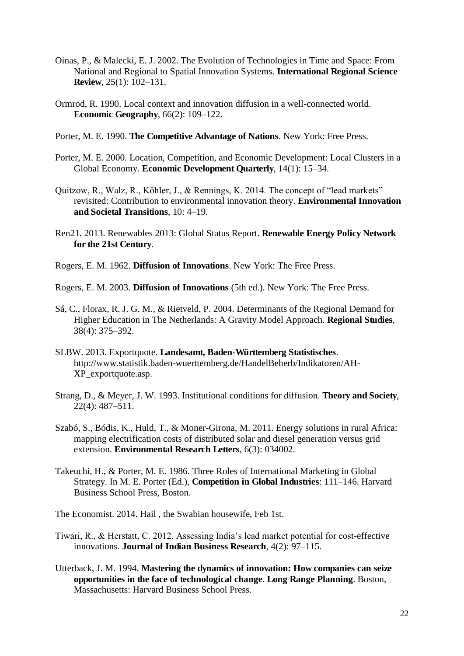- Oinas, P., & Malecki, E. J. 2002. The Evolution of Technologies in Time and Space: From National and Regional to Spatial Innovation Systems. **International Regional Science Review**, 25(1): 102–131.
- Ormrod, R. 1990. Local context and innovation diffusion in a well-connected world. **Economic Geography**, 66(2): 109–122.
- Porter, M. E. 1990. **The Competitive Advantage of Nations**. New York: Free Press.
- Porter, M. E. 2000. Location, Competition, and Economic Development: Local Clusters in a Global Economy. **Economic Development Quarterly**, 14(1): 15–34.
- Quitzow, R., Walz, R., Köhler, J., & Rennings, K. 2014. The concept of "lead markets" revisited: Contribution to environmental innovation theory. **Environmental Innovation and Societal Transitions**, 10: 4–19.
- Ren21. 2013. Renewables 2013: Global Status Report. **Renewable Energy Policy Network for the 21st Century**.
- Rogers, E. M. 1962. **Diffusion of Innovations**. New York: The Free Press.
- Rogers, E. M. 2003. **Diffusion of Innovations** (5th ed.). New York: The Free Press.
- Sá, C., Florax, R. J. G. M., & Rietveld, P. 2004. Determinants of the Regional Demand for Higher Education in The Netherlands: A Gravity Model Approach. **Regional Studies**, 38(4): 375–392.
- SLBW. 2013. Exportquote. **Landesamt, Baden-Württemberg Statistisches**. http://www.statistik.baden-wuerttemberg.de/HandelBeherb/Indikatoren/AH-XP\_exportquote.asp.
- Strang, D., & Meyer, J. W. 1993. Institutional conditions for diffusion. **Theory and Society**, 22(4): 487–511.
- Szabó, S., Bódis, K., Huld, T., & Moner-Girona, M. 2011. Energy solutions in rural Africa: mapping electrification costs of distributed solar and diesel generation versus grid extension. **Environmental Research Letters**, 6(3): 034002.
- Takeuchi, H., & Porter, M. E. 1986. Three Roles of International Marketing in Global Strategy. In M. E. Porter (Ed.), **Competition in Global Industries**: 111–146. Harvard Business School Press, Boston.
- The Economist. 2014. Hail , the Swabian housewife, Feb 1st.
- Tiwari, R., & Herstatt, C. 2012. Assessing India's lead market potential for cost-effective innovations. **Journal of Indian Business Research**, 4(2): 97–115.
- Utterback, J. M. 1994. **Mastering the dynamics of innovation: How companies can seize opportunities in the face of technological change**. **Long Range Planning**. Boston, Massachusetts: Harvard Business School Press.